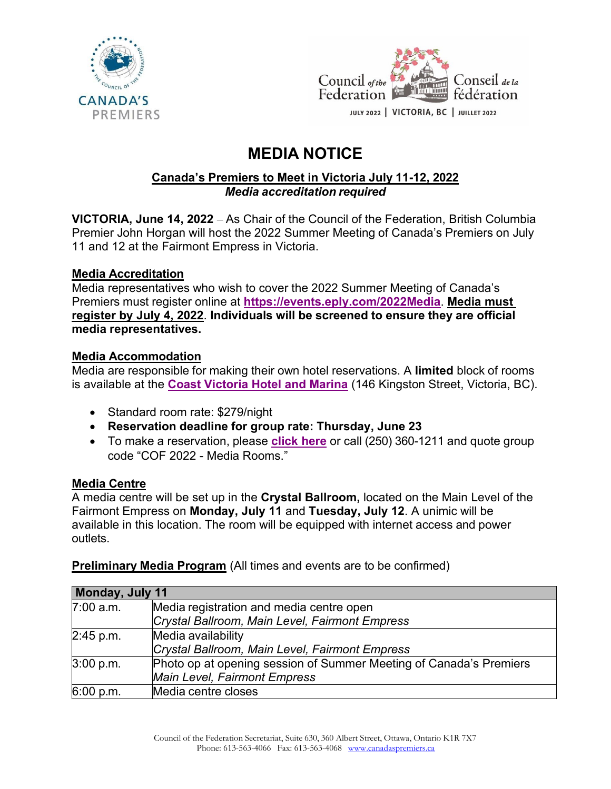



# **MEDIA NOTICE**

#### **Canada's Premiers to Meet in Victoria July 11-12, 2022** *Media accreditation required*

**VICTORIA, June 14, 2022** – As Chair of the Council of the Federation, British Columbia Premier John Horgan will host the 2022 Summer Meeting of Canada's Premiers on July 11 and 12 at the Fairmont Empress in Victoria.

## **Media Accreditation**

Media representatives who wish to cover the 2022 Summer Meeting of Canada's Premiers must register online at **<https://events.eply.com/2022Media>**. **Media must register by July 4, 2022**. **Individuals will be screened to ensure they are official media representatives.**

## **Media Accommodation**

Media are responsible for making their own hotel reservations. A **limited** block of rooms is available at the **[Coast Victoria Hotel and Marina](https://www.coasthotels.com/coast-victoria-hotel-and-marina-by-apa)** (146 Kingston Street, Victoria, BC).

- Standard room rate: \$279/night
- **Reservation deadline for group rate: Thursday, June 23**
- To make a reservation, please **[click here](https://book.passkey.com/e/50346261)** or call (250) 360-1211 and quote group code "COF 2022 - Media Rooms."

## **Media Centre**

A media centre will be set up in the **Crystal Ballroom,** located on the Main Level of the Fairmont Empress on **Monday, July 11** and **Tuesday, July 12**. A unimic will be available in this location. The room will be equipped with internet access and power outlets.

**Preliminary Media Program** (All times and events are to be confirmed)

| Monday, July 11 |                                                                    |
|-----------------|--------------------------------------------------------------------|
| 7:00 a.m.       | Media registration and media centre open                           |
|                 | Crystal Ballroom, Main Level, Fairmont Empress                     |
| 2:45 p.m.       | Media availability                                                 |
|                 | Crystal Ballroom, Main Level, Fairmont Empress                     |
| 3:00 p.m.       | Photo op at opening session of Summer Meeting of Canada's Premiers |
|                 | <b>Main Level, Fairmont Empress</b>                                |
| 6:00 p.m.       | Media centre closes                                                |